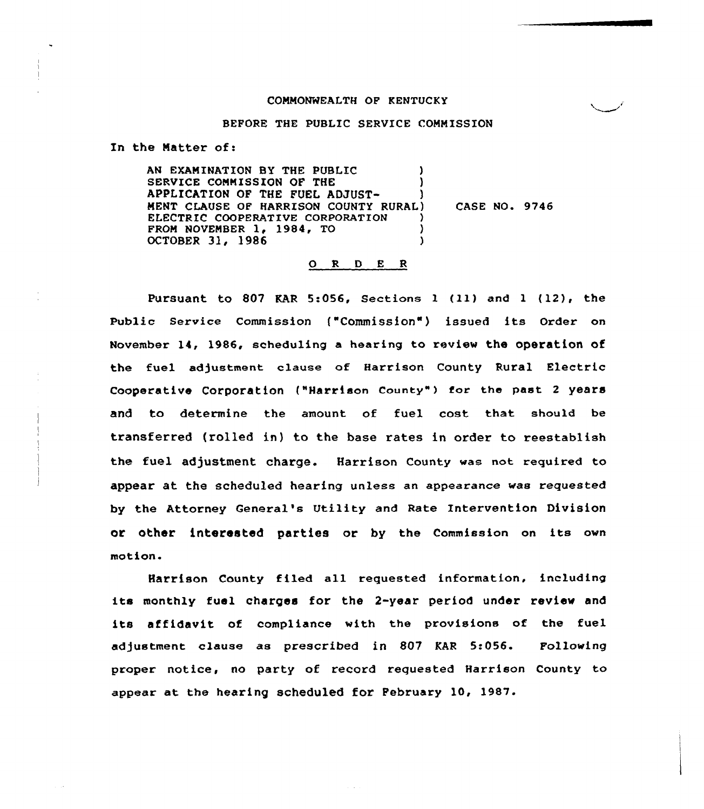### COMMONWEALTH OF KENTUCKY

#### BEFORE THE PUBLIC SERVICE COMMISSION

In the Matter of:

AN EXAMINATION BY THE PUBLIC ) SERVICE COMMISSION OF THE  $)$ APPLICATION OF THE FUEL ADJUST-MENT CLAUSE OF HARRISON COUNTY RURAL) ELECTRIC COOPERATIVE CORPORATION (3)<br>FROM NOVEMBER 1, 1984, TO FROM NOVEMBER 1, 1984, TO (2008) OCTOBER 31, 1986 CASE NO. 9746

### O R D E R

Pursuant to 807 KAR 5:056, Sections <sup>1</sup> (11} and <sup>1</sup> (12), the Public Service Commission ("Commission") issued its Order on November 14, 1986, scheduling a hearing to review the operation of the fuel adjustment clause of Harrison County Rural Electric Cooperative Corporation ("Harrison County") for the past 2 years and to determine the amount of fuel cost that should be transferred (rolled in) to the base rates in order to reestablish the fuel adjustment charge. Harrison County was not required to appear at the scheduled hearing unless an appearance was requested by the Attorney General's Utility and Rate Intervention Division or other interested parties or by the Commission on its own motion.

Harrison County filed all requested information, including its monthly fuel charges for the 2-year period under review and its affidavit of compliance with the provisions of the fuel adjustment clause as prescribed in 807 KAR 5:056. Following proper notice, no party of record requested Harrison County to appear at. the hearing scheduled for February 10, 1987.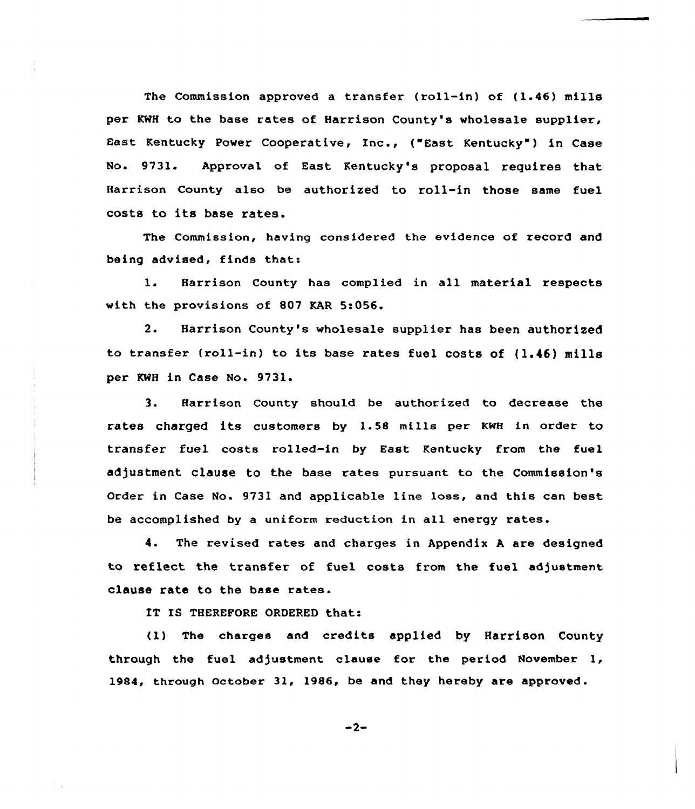The Commission approved a transfer (roll-in) of (1.46) mills per KWH to the base rates of Harrison County's wholesale supplier, East Kentucky Power Cooperative, Inc., ("East Kentucky" ) in Case No. 9731. Approval of East Kentucky's proposal requires that Harrison County also be authorized to roll-in those same fuel costs to its base rates.

The Commission, having considered the evidence of record and being advised, finds that:

1. Harrison County has complied in all material respects with the provisions of 807 KAR 5:056.

2. Harrison County's wholesale supplier has been authorized to transfer (roll-in) to its base rates fuel costs of (1.46) mills per KWH in Case No. 9731.

3. Harrison County should be authorized to decrease the rates charged its customers by 1.58 mills per KWH in order to transfer fuel costs rolled-in by East Kentucky from the fuel adjustment clause to the base rates pursuant to the Commission's Order in Case No. 9731 and applicable line lose, and this can best be accomplished by a uniform reduction in all energy rates.

4. The revised rates and charges in Appendix <sup>A</sup> are designed to reflect the transfer of fuel costs from the fuel adjustment clause rate to the base rates.

IT IS THEREFORE ORDERED that:

(1) The charges and credits applied by Harrison County through the fuel adjustment clause for the period November 1, 1984, through october 31, 1986, be and they hereby are approved.

 $-2-$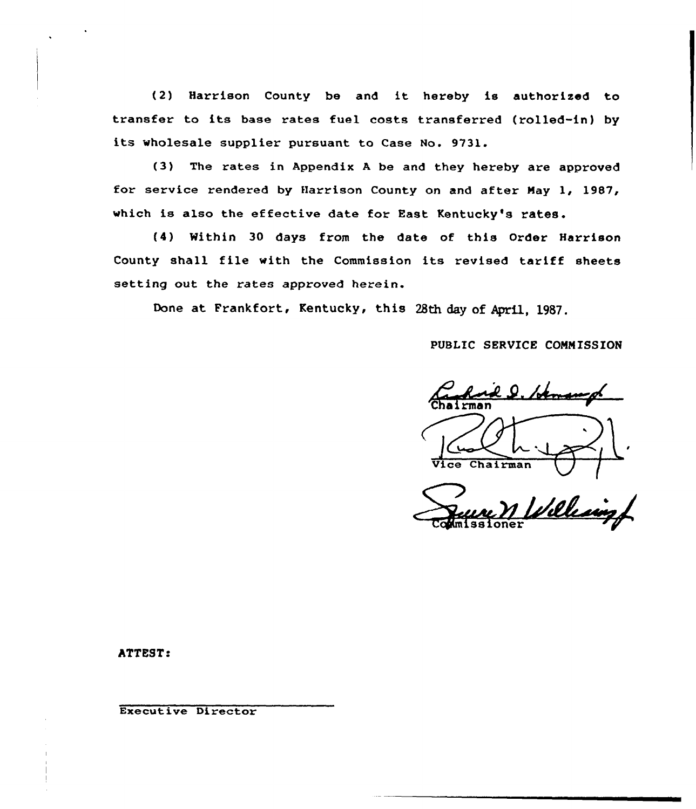{2) Harrison County be and it hereby is authorised to transfer to its base rates fuel costs transferred (rolled-in) by its wholesale supplier pursuant to Case No. 9731.

{3) The rates in Appendix <sup>A</sup> be and they hereby are approved for service rendered by fIarrison County on and after Nay 1, 1987, which is also the effective date for East Kentucky's rates.

(4) Within 30 days from the date of this Order Harrison County shall file with the Commission its revised tariff sheets setting out the rates approved herein.

Done at Frankfort, Kentucky, this 28th day of April, 1987.

PUBLIC SERVICE CONN ISSION

el. Straws 'Cha i rman  $V \cup V$ <br>Vice Chairman

Villes

ATTEST:

Executive Director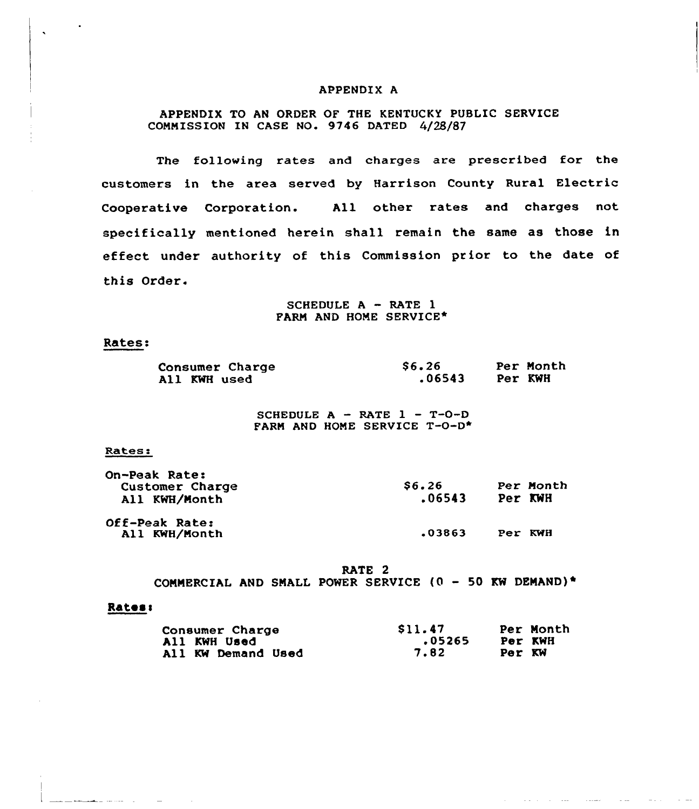### APPENDIX A

## APPENDIX TO AN ORDER OF THE KENTUCKY PUBLIC SERVICE COMMISSION IN CASE NO. 9746 DATED 4/28/87

The following rates and charges are prescribed for the customers in the area served by Harrison County Rural Electric Cooperative Corporation. All other rates and charges not specifically mentioned herein shall remain the same as those in effect under authority of this Commission prior to the date of this Order.

> SCHEDULE A - RATE 1 FARM AND BONE SERVICE\*

#### Rates:

| <b>Consumer Charge</b> | S6.26  |         | Per Month |
|------------------------|--------|---------|-----------|
| All KWH used           | .06543 | Per KWH |           |

SCHEDULE  $A$  – RATE  $1$  – T-O-D FARM AND HONE SERVICE T-0-D\*

#### Rates:

| On-Peak Rate:<br>Customer Charge<br>All KWH/Month | \$6.26<br>.06543 | Per KWH | Per Month |
|---------------------------------------------------|------------------|---------|-----------|
| Off-Peak Rate:                                    |                  |         |           |
| All KWH/Month                                     | .03863           | Per KWH |           |

RATE 2

COMMERCIAL AND SMALL POWER SERVICE  $(0 - 50$  KW DEMAND)\*

#### Rates:

الرواد المتحدث المتعاط

| Consumer Charge    | S11.47 | Per Month |
|--------------------|--------|-----------|
| All KWH Used       | .05265 | Per KWH   |
| All KW Demand Used | 7.82   | Per KW    |

 $\sim 100$  and  $\sim 100$ 

 $\mathcal{A}$  is a set of  $\mathcal{A}$  . In the contract of

**Contractor**